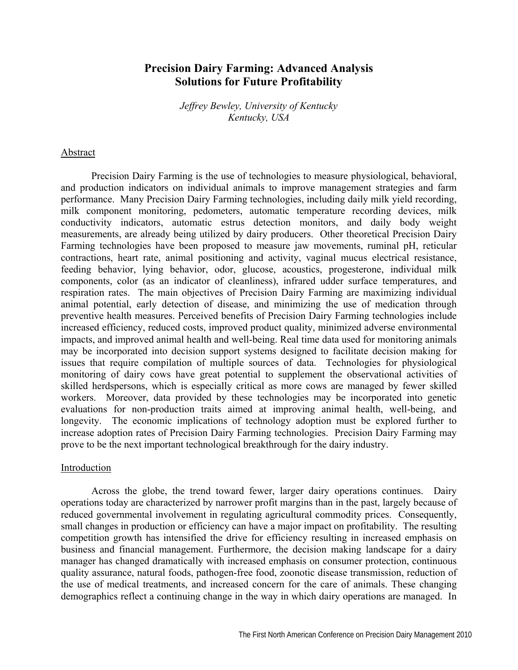# **Precision Dairy Farming: Advanced Analysis Solutions for Future Profitability**

*Jeffrey Bewley, University of Kentucky Kentucky, USA* 

### Abstract

Precision Dairy Farming is the use of technologies to measure physiological, behavioral, and production indicators on individual animals to improve management strategies and farm performance. Many Precision Dairy Farming technologies, including daily milk yield recording, milk component monitoring, pedometers, automatic temperature recording devices, milk conductivity indicators, automatic estrus detection monitors, and daily body weight measurements, are already being utilized by dairy producers. Other theoretical Precision Dairy Farming technologies have been proposed to measure jaw movements, ruminal pH, reticular contractions, heart rate, animal positioning and activity, vaginal mucus electrical resistance, feeding behavior, lying behavior, odor, glucose, acoustics, progesterone, individual milk components, color (as an indicator of cleanliness), infrared udder surface temperatures, and respiration rates. The main objectives of Precision Dairy Farming are maximizing individual animal potential, early detection of disease, and minimizing the use of medication through preventive health measures. Perceived benefits of Precision Dairy Farming technologies include increased efficiency, reduced costs, improved product quality, minimized adverse environmental impacts, and improved animal health and well-being. Real time data used for monitoring animals may be incorporated into decision support systems designed to facilitate decision making for issues that require compilation of multiple sources of data. Technologies for physiological monitoring of dairy cows have great potential to supplement the observational activities of skilled herdspersons, which is especially critical as more cows are managed by fewer skilled workers. Moreover, data provided by these technologies may be incorporated into genetic evaluations for non-production traits aimed at improving animal health, well-being, and longevity. The economic implications of technology adoption must be explored further to increase adoption rates of Precision Dairy Farming technologies. Precision Dairy Farming may prove to be the next important technological breakthrough for the dairy industry.

#### Introduction

Across the globe, the trend toward fewer, larger dairy operations continues. Dairy operations today are characterized by narrower profit margins than in the past, largely because of reduced governmental involvement in regulating agricultural commodity prices. Consequently, small changes in production or efficiency can have a major impact on profitability. The resulting competition growth has intensified the drive for efficiency resulting in increased emphasis on business and financial management. Furthermore, the decision making landscape for a dairy manager has changed dramatically with increased emphasis on consumer protection, continuous quality assurance, natural foods, pathogen-free food, zoonotic disease transmission, reduction of the use of medical treatments, and increased concern for the care of animals. These changing demographics reflect a continuing change in the way in which dairy operations are managed. In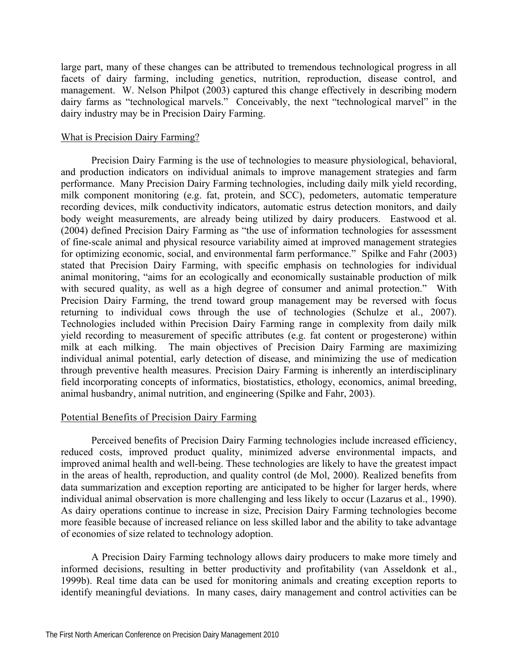large part, many of these changes can be attributed to tremendous technological progress in all facets of dairy farming, including genetics, nutrition, reproduction, disease control, and management. W. Nelson Philpot (2003) captured this change effectively in describing modern dairy farms as "technological marvels." Conceivably, the next "technological marvel" in the dairy industry may be in Precision Dairy Farming.

## What is Precision Dairy Farming?

Precision Dairy Farming is the use of technologies to measure physiological, behavioral, and production indicators on individual animals to improve management strategies and farm performance. Many Precision Dairy Farming technologies, including daily milk yield recording, milk component monitoring (e.g. fat, protein, and SCC), pedometers, automatic temperature recording devices, milk conductivity indicators, automatic estrus detection monitors, and daily body weight measurements, are already being utilized by dairy producers. Eastwood et al. (2004) defined Precision Dairy Farming as "the use of information technologies for assessment of fine-scale animal and physical resource variability aimed at improved management strategies for optimizing economic, social, and environmental farm performance." Spilke and Fahr (2003) stated that Precision Dairy Farming, with specific emphasis on technologies for individual animal monitoring, "aims for an ecologically and economically sustainable production of milk with secured quality, as well as a high degree of consumer and animal protection." With Precision Dairy Farming, the trend toward group management may be reversed with focus returning to individual cows through the use of technologies (Schulze et al., 2007). Technologies included within Precision Dairy Farming range in complexity from daily milk yield recording to measurement of specific attributes (e.g. fat content or progesterone) within milk at each milking. The main objectives of Precision Dairy Farming are maximizing individual animal potential, early detection of disease, and minimizing the use of medication through preventive health measures. Precision Dairy Farming is inherently an interdisciplinary field incorporating concepts of informatics, biostatistics, ethology, economics, animal breeding, animal husbandry, animal nutrition, and engineering (Spilke and Fahr, 2003).

# Potential Benefits of Precision Dairy Farming

Perceived benefits of Precision Dairy Farming technologies include increased efficiency, reduced costs, improved product quality, minimized adverse environmental impacts, and improved animal health and well-being. These technologies are likely to have the greatest impact in the areas of health, reproduction, and quality control (de Mol, 2000). Realized benefits from data summarization and exception reporting are anticipated to be higher for larger herds, where individual animal observation is more challenging and less likely to occur (Lazarus et al., 1990). As dairy operations continue to increase in size, Precision Dairy Farming technologies become more feasible because of increased reliance on less skilled labor and the ability to take advantage of economies of size related to technology adoption.

A Precision Dairy Farming technology allows dairy producers to make more timely and informed decisions, resulting in better productivity and profitability (van Asseldonk et al., 1999b). Real time data can be used for monitoring animals and creating exception reports to identify meaningful deviations. In many cases, dairy management and control activities can be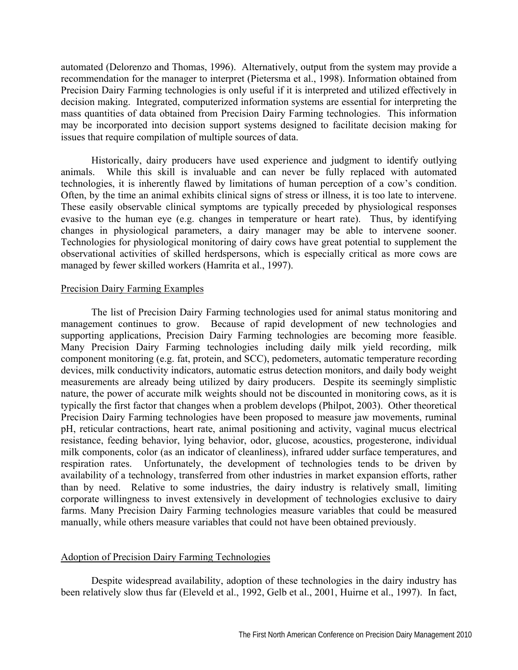automated (Delorenzo and Thomas, 1996). Alternatively, output from the system may provide a recommendation for the manager to interpret (Pietersma et al., 1998). Information obtained from Precision Dairy Farming technologies is only useful if it is interpreted and utilized effectively in decision making. Integrated, computerized information systems are essential for interpreting the mass quantities of data obtained from Precision Dairy Farming technologies. This information may be incorporated into decision support systems designed to facilitate decision making for issues that require compilation of multiple sources of data.

Historically, dairy producers have used experience and judgment to identify outlying animals. While this skill is invaluable and can never be fully replaced with automated technologies, it is inherently flawed by limitations of human perception of a cow's condition. Often, by the time an animal exhibits clinical signs of stress or illness, it is too late to intervene. These easily observable clinical symptoms are typically preceded by physiological responses evasive to the human eye (e.g. changes in temperature or heart rate). Thus, by identifying changes in physiological parameters, a dairy manager may be able to intervene sooner. Technologies for physiological monitoring of dairy cows have great potential to supplement the observational activities of skilled herdspersons, which is especially critical as more cows are managed by fewer skilled workers (Hamrita et al., 1997).

## Precision Dairy Farming Examples

The list of Precision Dairy Farming technologies used for animal status monitoring and management continues to grow. Because of rapid development of new technologies and supporting applications, Precision Dairy Farming technologies are becoming more feasible. Many Precision Dairy Farming technologies including daily milk yield recording, milk component monitoring (e.g. fat, protein, and SCC), pedometers, automatic temperature recording devices, milk conductivity indicators, automatic estrus detection monitors, and daily body weight measurements are already being utilized by dairy producers. Despite its seemingly simplistic nature, the power of accurate milk weights should not be discounted in monitoring cows, as it is typically the first factor that changes when a problem develops (Philpot, 2003). Other theoretical Precision Dairy Farming technologies have been proposed to measure jaw movements, ruminal pH, reticular contractions, heart rate, animal positioning and activity, vaginal mucus electrical resistance, feeding behavior, lying behavior, odor, glucose, acoustics, progesterone, individual milk components, color (as an indicator of cleanliness), infrared udder surface temperatures, and respiration rates. Unfortunately, the development of technologies tends to be driven by availability of a technology, transferred from other industries in market expansion efforts, rather than by need. Relative to some industries, the dairy industry is relatively small, limiting corporate willingness to invest extensively in development of technologies exclusive to dairy farms. Many Precision Dairy Farming technologies measure variables that could be measured manually, while others measure variables that could not have been obtained previously.

#### Adoption of Precision Dairy Farming Technologies

Despite widespread availability, adoption of these technologies in the dairy industry has been relatively slow thus far (Eleveld et al., 1992, Gelb et al., 2001, Huirne et al., 1997). In fact,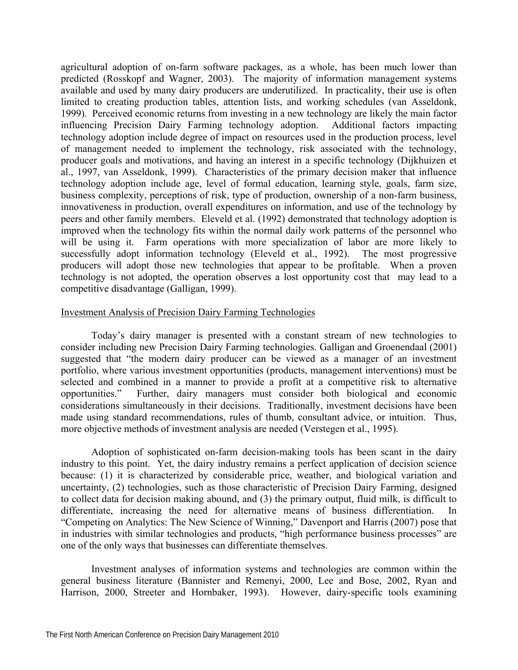agricultural adoption of on-farm software packages, as a whole, has been much lower than predicted (Rosskopf and Wagner, 2003). The majority of information management systems available and used by many dairy producers are underutilized. In practicality, their use is often limited to creating production tables, attention lists, and working schedules (van Asseldonk, 1999). Perceived economic returns from investing in a new technology are likely the main factor influencing Precision Dairy Farming technology adoption. Additional factors impacting technology adoption include degree of impact on resources used in the production process, level of management needed to implement the technology, risk associated with the technology, producer goals and motivations, and having an interest in a specific technology (Dijkhuizen et al., 1997, van Asseldonk, 1999). Characteristics of the primary decision maker that influence technology adoption include age, level of formal education, learning style, goals, farm size, business complexity, perceptions of risk, type of production, ownership of a non-farm business, innovativeness in production, overall expenditures on information, and use of the technology by peers and other family members. Eleveld et al. (1992) demonstrated that technology adoption is improved when the technology fits within the normal daily work patterns of the personnel who will be using it. Farm operations with more specialization of labor are more likely to successfully adopt information technology (Eleveld et al., 1992). The most progressive producers will adopt those new technologies that appear to be profitable. When a proven technology is not adopted, the operation observes a lost opportunity cost that may lead to a competitive disadvantage (Galligan, 1999).

## Investment Analysis of Precision Dairy Farming Technologies

Today's dairy manager is presented with a constant stream of new technologies to consider including new Precision Dairy Farming technologies. Galligan and Groenendaal (2001) suggested that "the modern dairy producer can be viewed as a manager of an investment portfolio, where various investment opportunities (products, management interventions) must be selected and combined in a manner to provide a profit at a competitive risk to alternative opportunities." Further, dairy managers must consider both biological and economic considerations simultaneously in their decisions. Traditionally, investment decisions have been made using standard recommendations, rules of thumb, consultant advice, or intuition. Thus, more objective methods of investment analysis are needed (Verstegen et al., 1995).

Adoption of sophisticated on-farm decision-making tools has been scant in the dairy industry to this point. Yet, the dairy industry remains a perfect application of decision science because: (1) it is characterized by considerable price, weather, and biological variation and uncertainty, (2) technologies, such as those characteristic of Precision Dairy Farming, designed to collect data for decision making abound, and (3) the primary output, fluid milk, is difficult to differentiate, increasing the need for alternative means of business differentiation. In "Competing on Analytics: The New Science of Winning," Davenport and Harris (2007) pose that in industries with similar technologies and products, "high performance business processes" are one of the only ways that businesses can differentiate themselves.

Investment analyses of information systems and technologies are common within the general business literature (Bannister and Remenyi, 2000, Lee and Bose, 2002, Ryan and Harrison, 2000, Streeter and Hornbaker, 1993). However, dairy-specific tools examining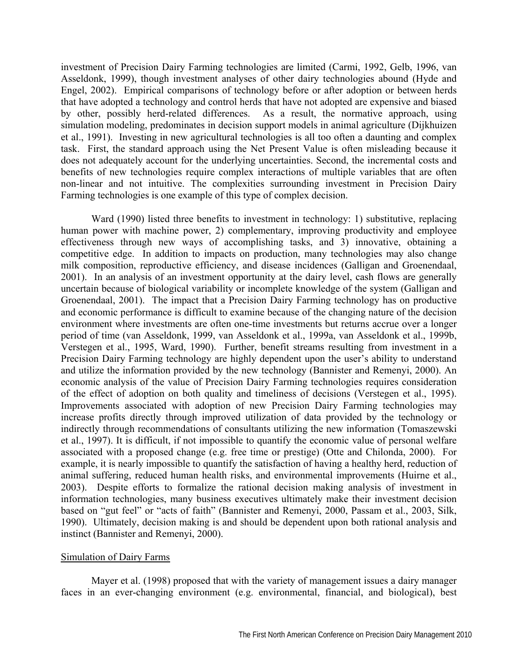investment of Precision Dairy Farming technologies are limited (Carmi, 1992, Gelb, 1996, van Asseldonk, 1999), though investment analyses of other dairy technologies abound (Hyde and Engel, 2002). Empirical comparisons of technology before or after adoption or between herds that have adopted a technology and control herds that have not adopted are expensive and biased by other, possibly herd-related differences. As a result, the normative approach, using simulation modeling, predominates in decision support models in animal agriculture (Dijkhuizen et al., 1991). Investing in new agricultural technologies is all too often a daunting and complex task. First, the standard approach using the Net Present Value is often misleading because it does not adequately account for the underlying uncertainties. Second, the incremental costs and benefits of new technologies require complex interactions of multiple variables that are often non-linear and not intuitive. The complexities surrounding investment in Precision Dairy Farming technologies is one example of this type of complex decision.

Ward (1990) listed three benefits to investment in technology: 1) substitutive, replacing human power with machine power, 2) complementary, improving productivity and employee effectiveness through new ways of accomplishing tasks, and 3) innovative, obtaining a competitive edge. In addition to impacts on production, many technologies may also change milk composition, reproductive efficiency, and disease incidences (Galligan and Groenendaal, 2001). In an analysis of an investment opportunity at the dairy level, cash flows are generally uncertain because of biological variability or incomplete knowledge of the system (Galligan and Groenendaal, 2001). The impact that a Precision Dairy Farming technology has on productive and economic performance is difficult to examine because of the changing nature of the decision environment where investments are often one-time investments but returns accrue over a longer period of time (van Asseldonk, 1999, van Asseldonk et al., 1999a, van Asseldonk et al., 1999b, Verstegen et al., 1995, Ward, 1990). Further, benefit streams resulting from investment in a Precision Dairy Farming technology are highly dependent upon the user's ability to understand and utilize the information provided by the new technology (Bannister and Remenyi, 2000). An economic analysis of the value of Precision Dairy Farming technologies requires consideration of the effect of adoption on both quality and timeliness of decisions (Verstegen et al., 1995). Improvements associated with adoption of new Precision Dairy Farming technologies may increase profits directly through improved utilization of data provided by the technology or indirectly through recommendations of consultants utilizing the new information (Tomaszewski et al., 1997). It is difficult, if not impossible to quantify the economic value of personal welfare associated with a proposed change (e.g. free time or prestige) (Otte and Chilonda, 2000). For example, it is nearly impossible to quantify the satisfaction of having a healthy herd, reduction of animal suffering, reduced human health risks, and environmental improvements (Huirne et al., 2003). Despite efforts to formalize the rational decision making analysis of investment in information technologies, many business executives ultimately make their investment decision based on "gut feel" or "acts of faith" (Bannister and Remenyi, 2000, Passam et al., 2003, Silk, 1990). Ultimately, decision making is and should be dependent upon both rational analysis and instinct (Bannister and Remenyi, 2000).

#### Simulation of Dairy Farms

Mayer et al. (1998) proposed that with the variety of management issues a dairy manager faces in an ever-changing environment (e.g. environmental, financial, and biological), best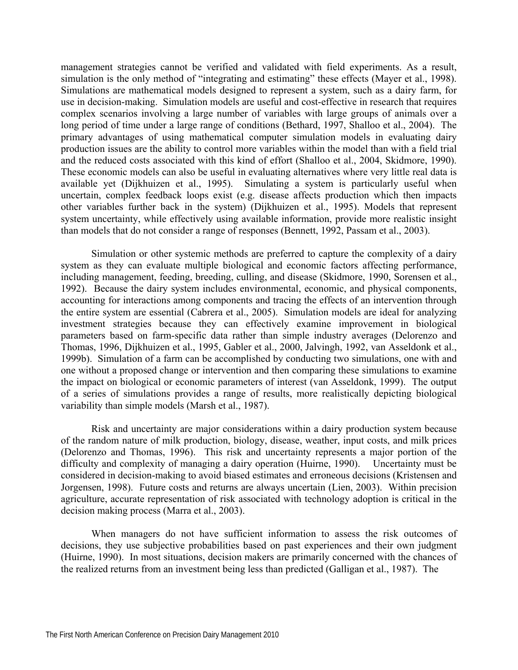management strategies cannot be verified and validated with field experiments. As a result, simulation is the only method of "integrating and estimating" these effects (Mayer et al., 1998). Simulations are mathematical models designed to represent a system, such as a dairy farm, for use in decision-making. Simulation models are useful and cost-effective in research that requires complex scenarios involving a large number of variables with large groups of animals over a long period of time under a large range of conditions (Bethard, 1997, Shalloo et al., 2004). The primary advantages of using mathematical computer simulation models in evaluating dairy production issues are the ability to control more variables within the model than with a field trial and the reduced costs associated with this kind of effort (Shalloo et al., 2004, Skidmore, 1990). These economic models can also be useful in evaluating alternatives where very little real data is available yet (Dijkhuizen et al., 1995). Simulating a system is particularly useful when uncertain, complex feedback loops exist (e.g. disease affects production which then impacts other variables further back in the system) (Dijkhuizen et al., 1995). Models that represent system uncertainty, while effectively using available information, provide more realistic insight than models that do not consider a range of responses (Bennett, 1992, Passam et al., 2003).

Simulation or other systemic methods are preferred to capture the complexity of a dairy system as they can evaluate multiple biological and economic factors affecting performance, including management, feeding, breeding, culling, and disease (Skidmore, 1990, Sorensen et al., 1992). Because the dairy system includes environmental, economic, and physical components, accounting for interactions among components and tracing the effects of an intervention through the entire system are essential (Cabrera et al., 2005). Simulation models are ideal for analyzing investment strategies because they can effectively examine improvement in biological parameters based on farm-specific data rather than simple industry averages (Delorenzo and Thomas, 1996, Dijkhuizen et al., 1995, Gabler et al., 2000, Jalvingh, 1992, van Asseldonk et al., 1999b). Simulation of a farm can be accomplished by conducting two simulations, one with and one without a proposed change or intervention and then comparing these simulations to examine the impact on biological or economic parameters of interest (van Asseldonk, 1999). The output of a series of simulations provides a range of results, more realistically depicting biological variability than simple models (Marsh et al., 1987).

Risk and uncertainty are major considerations within a dairy production system because of the random nature of milk production, biology, disease, weather, input costs, and milk prices (Delorenzo and Thomas, 1996). This risk and uncertainty represents a major portion of the difficulty and complexity of managing a dairy operation (Huirne, 1990). Uncertainty must be considered in decision-making to avoid biased estimates and erroneous decisions (Kristensen and Jorgensen, 1998). Future costs and returns are always uncertain (Lien, 2003). Within precision agriculture, accurate representation of risk associated with technology adoption is critical in the decision making process (Marra et al., 2003).

When managers do not have sufficient information to assess the risk outcomes of decisions, they use subjective probabilities based on past experiences and their own judgment (Huirne, 1990). In most situations, decision makers are primarily concerned with the chances of the realized returns from an investment being less than predicted (Galligan et al., 1987). The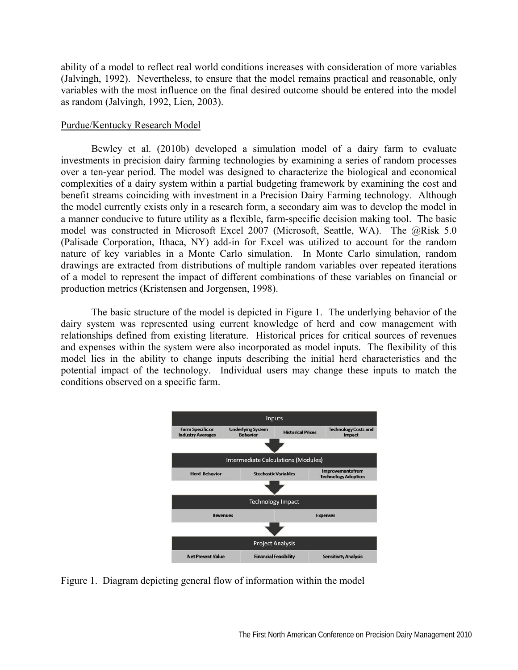ability of a model to reflect real world conditions increases with consideration of more variables (Jalvingh, 1992). Nevertheless, to ensure that the model remains practical and reasonable, only variables with the most influence on the final desired outcome should be entered into the model as random (Jalvingh, 1992, Lien, 2003).

# Purdue/Kentucky Research Model

Bewley et al. (2010b) developed a simulation model of a dairy farm to evaluate investments in precision dairy farming technologies by examining a series of random processes over a ten-year period. The model was designed to characterize the biological and economical complexities of a dairy system within a partial budgeting framework by examining the cost and benefit streams coinciding with investment in a Precision Dairy Farming technology. Although the model currently exists only in a research form, a secondary aim was to develop the model in a manner conducive to future utility as a flexible, farm-specific decision making tool. The basic model was constructed in Microsoft Excel 2007 (Microsoft, Seattle, WA). The @Risk 5.0 (Palisade Corporation, Ithaca, NY) add-in for Excel was utilized to account for the random nature of key variables in a Monte Carlo simulation. In Monte Carlo simulation, random drawings are extracted from distributions of multiple random variables over repeated iterations of a model to represent the impact of different combinations of these variables on financial or production metrics (Kristensen and Jorgensen, 1998).

The basic structure of the model is depicted in Figure 1. The underlying behavior of the dairy system was represented using current knowledge of herd and cow management with relationships defined from existing literature. Historical prices for critical sources of revenues and expenses within the system were also incorporated as model inputs. The flexibility of this model lies in the ability to change inputs describing the initial herd characteristics and the potential impact of the technology. Individual users may change these inputs to match the conditions observed on a specific farm.



Figure 1. Diagram depicting general flow of information within the model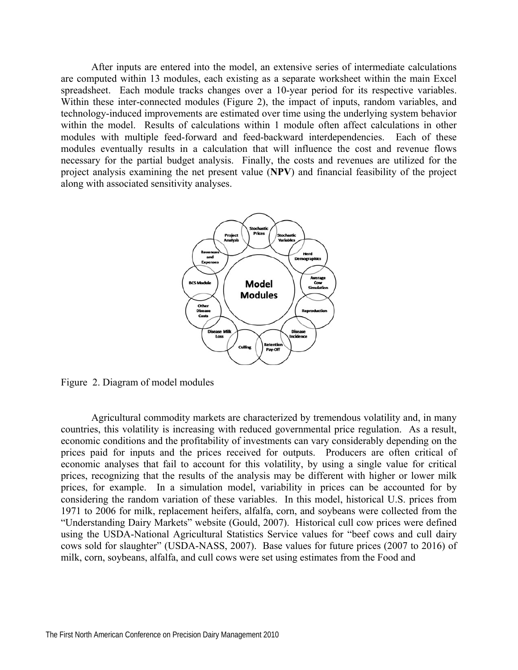After inputs are entered into the model, an extensive series of intermediate calculations are computed within 13 modules, each existing as a separate worksheet within the main Excel spreadsheet. Each module tracks changes over a 10-year period for its respective variables. Within these inter-connected modules (Figure 2), the impact of inputs, random variables, and technology-induced improvements are estimated over time using the underlying system behavior within the model. Results of calculations within 1 module often affect calculations in other modules with multiple feed-forward and feed-backward interdependencies. Each of these modules eventually results in a calculation that will influence the cost and revenue flows necessary for the partial budget analysis. Finally, the costs and revenues are utilized for the project analysis examining the net present value (**NPV**) and financial feasibility of the project along with associated sensitivity analyses.



Figure 2. Diagram of model modules

Agricultural commodity markets are characterized by tremendous volatility and, in many countries, this volatility is increasing with reduced governmental price regulation. As a result, economic conditions and the profitability of investments can vary considerably depending on the prices paid for inputs and the prices received for outputs. Producers are often critical of economic analyses that fail to account for this volatility, by using a single value for critical prices, recognizing that the results of the analysis may be different with higher or lower milk prices, for example. In a simulation model, variability in prices can be accounted for by considering the random variation of these variables. In this model, historical U.S. prices from 1971 to 2006 for milk, replacement heifers, alfalfa, corn, and soybeans were collected from the "Understanding Dairy Markets" website (Gould, 2007). Historical cull cow prices were defined using the USDA-National Agricultural Statistics Service values for "beef cows and cull dairy cows sold for slaughter" (USDA-NASS, 2007). Base values for future prices (2007 to 2016) of milk, corn, soybeans, alfalfa, and cull cows were set using estimates from the Food and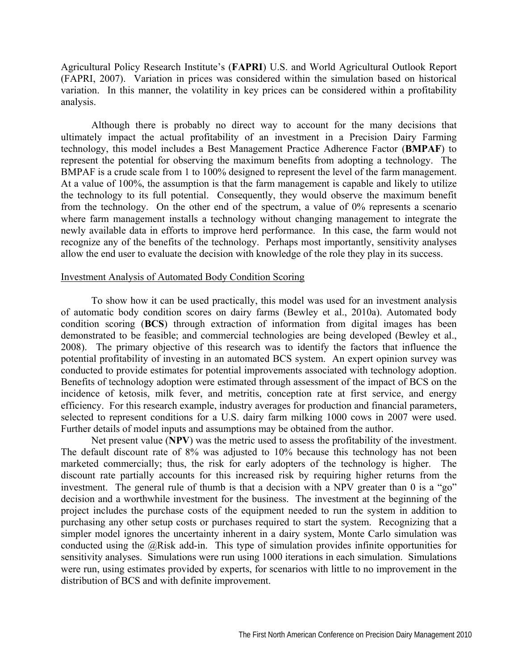Agricultural Policy Research Institute's (**FAPRI**) U.S. and World Agricultural Outlook Report (FAPRI, 2007). Variation in prices was considered within the simulation based on historical variation. In this manner, the volatility in key prices can be considered within a profitability analysis.

Although there is probably no direct way to account for the many decisions that ultimately impact the actual profitability of an investment in a Precision Dairy Farming technology, this model includes a Best Management Practice Adherence Factor (**BMPAF**) to represent the potential for observing the maximum benefits from adopting a technology. The BMPAF is a crude scale from 1 to 100% designed to represent the level of the farm management. At a value of 100%, the assumption is that the farm management is capable and likely to utilize the technology to its full potential. Consequently, they would observe the maximum benefit from the technology. On the other end of the spectrum, a value of 0% represents a scenario where farm management installs a technology without changing management to integrate the newly available data in efforts to improve herd performance. In this case, the farm would not recognize any of the benefits of the technology. Perhaps most importantly, sensitivity analyses allow the end user to evaluate the decision with knowledge of the role they play in its success.

#### Investment Analysis of Automated Body Condition Scoring

To show how it can be used practically, this model was used for an investment analysis of automatic body condition scores on dairy farms (Bewley et al., 2010a). Automated body condition scoring (**BCS**) through extraction of information from digital images has been demonstrated to be feasible; and commercial technologies are being developed (Bewley et al., 2008). The primary objective of this research was to identify the factors that influence the potential profitability of investing in an automated BCS system. An expert opinion survey was conducted to provide estimates for potential improvements associated with technology adoption. Benefits of technology adoption were estimated through assessment of the impact of BCS on the incidence of ketosis, milk fever, and metritis, conception rate at first service, and energy efficiency. For this research example, industry averages for production and financial parameters, selected to represent conditions for a U.S. dairy farm milking 1000 cows in 2007 were used. Further details of model inputs and assumptions may be obtained from the author.

Net present value (**NPV**) was the metric used to assess the profitability of the investment. The default discount rate of 8% was adjusted to 10% because this technology has not been marketed commercially; thus, the risk for early adopters of the technology is higher. The discount rate partially accounts for this increased risk by requiring higher returns from the investment. The general rule of thumb is that a decision with a NPV greater than 0 is a "go" decision and a worthwhile investment for the business. The investment at the beginning of the project includes the purchase costs of the equipment needed to run the system in addition to purchasing any other setup costs or purchases required to start the system. Recognizing that a simpler model ignores the uncertainty inherent in a dairy system, Monte Carlo simulation was conducted using the @Risk add-in. This type of simulation provides infinite opportunities for sensitivity analyses. Simulations were run using 1000 iterations in each simulation. Simulations were run, using estimates provided by experts, for scenarios with little to no improvement in the distribution of BCS and with definite improvement.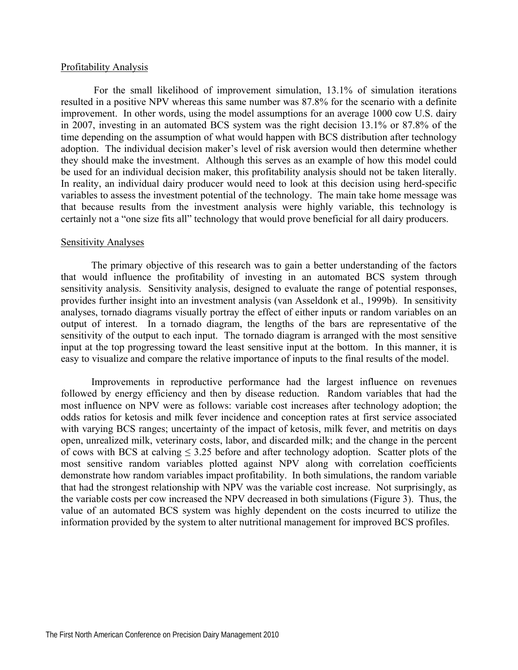#### Profitability Analysis

 For the small likelihood of improvement simulation, 13.1% of simulation iterations resulted in a positive NPV whereas this same number was 87.8% for the scenario with a definite improvement. In other words, using the model assumptions for an average 1000 cow U.S. dairy in 2007, investing in an automated BCS system was the right decision 13.1% or 87.8% of the time depending on the assumption of what would happen with BCS distribution after technology adoption. The individual decision maker's level of risk aversion would then determine whether they should make the investment. Although this serves as an example of how this model could be used for an individual decision maker, this profitability analysis should not be taken literally. In reality, an individual dairy producer would need to look at this decision using herd-specific variables to assess the investment potential of the technology. The main take home message was that because results from the investment analysis were highly variable, this technology is certainly not a "one size fits all" technology that would prove beneficial for all dairy producers.

#### Sensitivity Analyses

The primary objective of this research was to gain a better understanding of the factors that would influence the profitability of investing in an automated BCS system through sensitivity analysis. Sensitivity analysis, designed to evaluate the range of potential responses, provides further insight into an investment analysis (van Asseldonk et al., 1999b). In sensitivity analyses, tornado diagrams visually portray the effect of either inputs or random variables on an output of interest. In a tornado diagram, the lengths of the bars are representative of the sensitivity of the output to each input. The tornado diagram is arranged with the most sensitive input at the top progressing toward the least sensitive input at the bottom. In this manner, it is easy to visualize and compare the relative importance of inputs to the final results of the model.

Improvements in reproductive performance had the largest influence on revenues followed by energy efficiency and then by disease reduction. Random variables that had the most influence on NPV were as follows: variable cost increases after technology adoption; the odds ratios for ketosis and milk fever incidence and conception rates at first service associated with varying BCS ranges; uncertainty of the impact of ketosis, milk fever, and metritis on days open, unrealized milk, veterinary costs, labor, and discarded milk; and the change in the percent of cows with BCS at calving  $\leq 3.25$  before and after technology adoption. Scatter plots of the most sensitive random variables plotted against NPV along with correlation coefficients demonstrate how random variables impact profitability. In both simulations, the random variable that had the strongest relationship with NPV was the variable cost increase. Not surprisingly, as the variable costs per cow increased the NPV decreased in both simulations (Figure 3). Thus, the value of an automated BCS system was highly dependent on the costs incurred to utilize the information provided by the system to alter nutritional management for improved BCS profiles.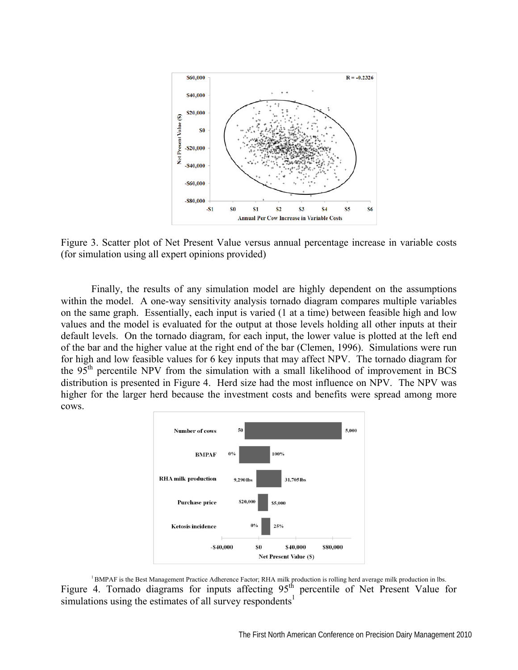

Figure 3. Scatter plot of Net Present Value versus annual percentage increase in variable costs (for simulation using all expert opinions provided)

Finally, the results of any simulation model are highly dependent on the assumptions within the model. A one-way sensitivity analysis tornado diagram compares multiple variables on the same graph. Essentially, each input is varied (1 at a time) between feasible high and low values and the model is evaluated for the output at those levels holding all other inputs at their default levels. On the tornado diagram, for each input, the lower value is plotted at the left end of the bar and the higher value at the right end of the bar (Clemen, 1996). Simulations were run for high and low feasible values for 6 key inputs that may affect NPV. The tornado diagram for the 95<sup>th</sup> percentile NPV from the simulation with a small likelihood of improvement in BCS distribution is presented in Figure 4. Herd size had the most influence on NPV. The NPV was higher for the larger herd because the investment costs and benefits were spread among more cows.



<sup>1</sup> BMPAF is the Best Management Practice Adherence Factor; RHA milk production is rolling herd average milk production in lbs. Figure 4. Tornado diagrams for inputs affecting  $95<sup>th</sup>$  percentile of Net Present Value for simulations using the estimates of all survey respondents<sup>1</sup>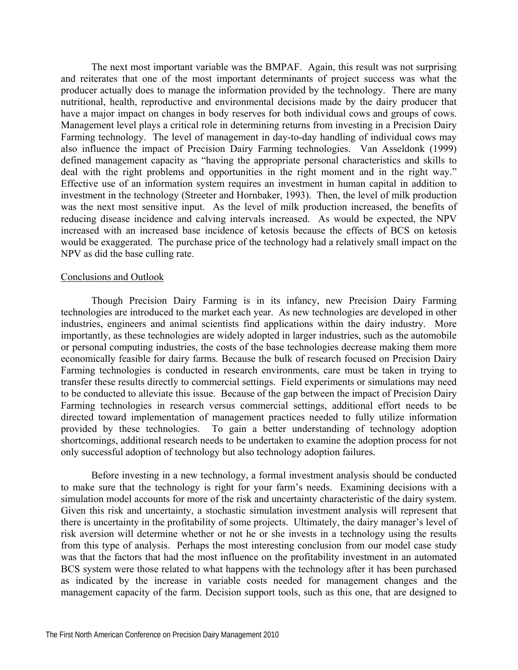The next most important variable was the BMPAF. Again, this result was not surprising and reiterates that one of the most important determinants of project success was what the producer actually does to manage the information provided by the technology. There are many nutritional, health, reproductive and environmental decisions made by the dairy producer that have a major impact on changes in body reserves for both individual cows and groups of cows. Management level plays a critical role in determining returns from investing in a Precision Dairy Farming technology. The level of management in day-to-day handling of individual cows may also influence the impact of Precision Dairy Farming technologies. Van Asseldonk (1999) defined management capacity as "having the appropriate personal characteristics and skills to deal with the right problems and opportunities in the right moment and in the right way." Effective use of an information system requires an investment in human capital in addition to investment in the technology (Streeter and Hornbaker, 1993). Then, the level of milk production was the next most sensitive input. As the level of milk production increased, the benefits of reducing disease incidence and calving intervals increased. As would be expected, the NPV increased with an increased base incidence of ketosis because the effects of BCS on ketosis would be exaggerated. The purchase price of the technology had a relatively small impact on the NPV as did the base culling rate.

#### Conclusions and Outlook

Though Precision Dairy Farming is in its infancy, new Precision Dairy Farming technologies are introduced to the market each year. As new technologies are developed in other industries, engineers and animal scientists find applications within the dairy industry. More importantly, as these technologies are widely adopted in larger industries, such as the automobile or personal computing industries, the costs of the base technologies decrease making them more economically feasible for dairy farms. Because the bulk of research focused on Precision Dairy Farming technologies is conducted in research environments, care must be taken in trying to transfer these results directly to commercial settings. Field experiments or simulations may need to be conducted to alleviate this issue. Because of the gap between the impact of Precision Dairy Farming technologies in research versus commercial settings, additional effort needs to be directed toward implementation of management practices needed to fully utilize information provided by these technologies. To gain a better understanding of technology adoption shortcomings, additional research needs to be undertaken to examine the adoption process for not only successful adoption of technology but also technology adoption failures.

Before investing in a new technology, a formal investment analysis should be conducted to make sure that the technology is right for your farm's needs. Examining decisions with a simulation model accounts for more of the risk and uncertainty characteristic of the dairy system. Given this risk and uncertainty, a stochastic simulation investment analysis will represent that there is uncertainty in the profitability of some projects. Ultimately, the dairy manager's level of risk aversion will determine whether or not he or she invests in a technology using the results from this type of analysis. Perhaps the most interesting conclusion from our model case study was that the factors that had the most influence on the profitability investment in an automated BCS system were those related to what happens with the technology after it has been purchased as indicated by the increase in variable costs needed for management changes and the management capacity of the farm. Decision support tools, such as this one, that are designed to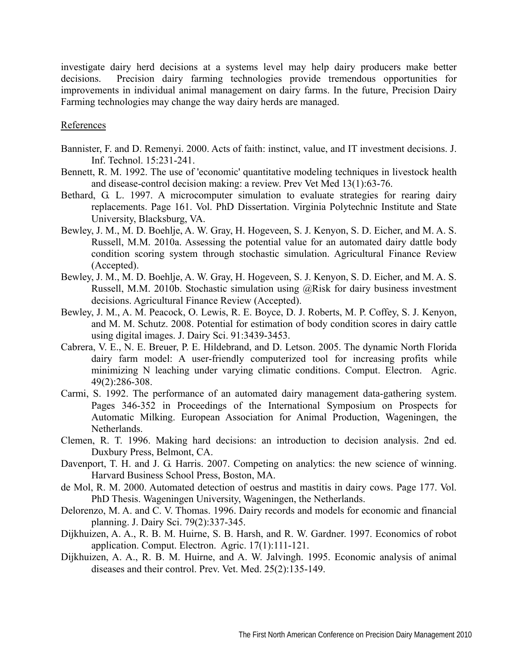investigate dairy herd decisions at a systems level may help dairy producers make better decisions. Precision dairy farming technologies provide tremendous opportunities for improvements in individual animal management on dairy farms. In the future, Precision Dairy Farming technologies may change the way dairy herds are managed.

## **References**

- Bannister, F. and D. Remenyi. 2000. Acts of faith: instinct, value, and IT investment decisions. J. Inf. Technol. 15:231-241.
- Bennett, R. M. 1992. The use of 'economic' quantitative modeling techniques in livestock health and disease-control decision making: a review. Prev Vet Med 13(1):63-76.
- Bethard, G. L. 1997. A microcomputer simulation to evaluate strategies for rearing dairy replacements. Page 161. Vol. PhD Dissertation. Virginia Polytechnic Institute and State University, Blacksburg, VA.
- Bewley, J. M., M. D. Boehlje, A. W. Gray, H. Hogeveen, S. J. Kenyon, S. D. Eicher, and M. A. S. Russell, M.M. 2010a. Assessing the potential value for an automated dairy dattle body condition scoring system through stochastic simulation. Agricultural Finance Review (Accepted).
- Bewley, J. M., M. D. Boehlje, A. W. Gray, H. Hogeveen, S. J. Kenyon, S. D. Eicher, and M. A. S. Russell, M.M. 2010b. Stochastic simulation using @Risk for dairy business investment decisions. Agricultural Finance Review (Accepted).
- Bewley, J. M., A. M. Peacock, O. Lewis, R. E. Boyce, D. J. Roberts, M. P. Coffey, S. J. Kenyon, and M. M. Schutz. 2008. Potential for estimation of body condition scores in dairy cattle using digital images. J. Dairy Sci. 91:3439-3453.
- Cabrera, V. E., N. E. Breuer, P. E. Hildebrand, and D. Letson. 2005. The dynamic North Florida dairy farm model: A user-friendly computerized tool for increasing profits while minimizing N leaching under varying climatic conditions. Comput. Electron. Agric. 49(2):286-308.
- Carmi, S. 1992. The performance of an automated dairy management data-gathering system. Pages 346-352 in Proceedings of the International Symposium on Prospects for Automatic Milking. European Association for Animal Production, Wageningen, the Netherlands.
- Clemen, R. T. 1996. Making hard decisions: an introduction to decision analysis. 2nd ed. Duxbury Press, Belmont, CA.
- Davenport, T. H. and J. G. Harris. 2007. Competing on analytics: the new science of winning. Harvard Business School Press, Boston, MA.
- de Mol, R. M. 2000. Automated detection of oestrus and mastitis in dairy cows. Page 177. Vol. PhD Thesis. Wageningen University, Wageningen, the Netherlands.
- Delorenzo, M. A. and C. V. Thomas. 1996. Dairy records and models for economic and financial planning. J. Dairy Sci. 79(2):337-345.
- Dijkhuizen, A. A., R. B. M. Huirne, S. B. Harsh, and R. W. Gardner. 1997. Economics of robot application. Comput. Electron. Agric. 17(1):111-121.
- Dijkhuizen, A. A., R. B. M. Huirne, and A. W. Jalvingh. 1995. Economic analysis of animal diseases and their control. Prev. Vet. Med. 25(2):135-149.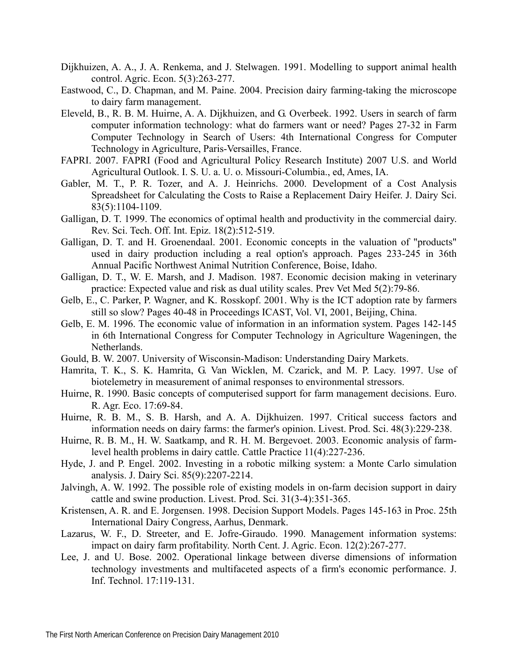- Dijkhuizen, A. A., J. A. Renkema, and J. Stelwagen. 1991. Modelling to support animal health control. Agric. Econ. 5(3):263-277.
- Eastwood, C., D. Chapman, and M. Paine. 2004. Precision dairy farming-taking the microscope to dairy farm management.
- Eleveld, B., R. B. M. Huirne, A. A. Dijkhuizen, and G. Overbeek. 1992. Users in search of farm computer information technology: what do farmers want or need? Pages 27-32 in Farm Computer Technology in Search of Users: 4th International Congress for Computer Technology in Agriculture, Paris-Versailles, France.
- FAPRI. 2007. FAPRI (Food and Agricultural Policy Research Institute) 2007 U.S. and World Agricultural Outlook. I. S. U. a. U. o. Missouri-Columbia., ed, Ames, IA.
- Gabler, M. T., P. R. Tozer, and A. J. Heinrichs. 2000. Development of a Cost Analysis Spreadsheet for Calculating the Costs to Raise a Replacement Dairy Heifer. J. Dairy Sci. 83(5):1104-1109.
- Galligan, D. T. 1999. The economics of optimal health and productivity in the commercial dairy. Rev. Sci. Tech. Off. Int. Epiz. 18(2):512-519.
- Galligan, D. T. and H. Groenendaal. 2001. Economic concepts in the valuation of "products" used in dairy production including a real option's approach. Pages 233-245 in 36th Annual Pacific Northwest Animal Nutrition Conference, Boise, Idaho.
- Galligan, D. T., W. E. Marsh, and J. Madison. 1987. Economic decision making in veterinary practice: Expected value and risk as dual utility scales. Prev Vet Med 5(2):79-86.
- Gelb, E., C. Parker, P. Wagner, and K. Rosskopf. 2001. Why is the ICT adoption rate by farmers still so slow? Pages 40-48 in Proceedings ICAST, Vol. VI, 2001, Beijing, China.
- Gelb, E. M. 1996. The economic value of information in an information system. Pages 142-145 in 6th International Congress for Computer Technology in Agriculture Wageningen, the Netherlands.
- Gould, B. W. 2007. University of Wisconsin-Madison: Understanding Dairy Markets.
- Hamrita, T. K., S. K. Hamrita, G. Van Wicklen, M. Czarick, and M. P. Lacy. 1997. Use of biotelemetry in measurement of animal responses to environmental stressors.
- Huirne, R. 1990. Basic concepts of computerised support for farm management decisions. Euro. R. Agr. Eco. 17:69-84.
- Huirne, R. B. M., S. B. Harsh, and A. A. Dijkhuizen. 1997. Critical success factors and information needs on dairy farms: the farmer's opinion. Livest. Prod. Sci. 48(3):229-238.
- Huirne, R. B. M., H. W. Saatkamp, and R. H. M. Bergevoet. 2003. Economic analysis of farmlevel health problems in dairy cattle. Cattle Practice 11(4):227-236.
- Hyde, J. and P. Engel. 2002. Investing in a robotic milking system: a Monte Carlo simulation analysis. J. Dairy Sci. 85(9):2207-2214.
- Jalvingh, A. W. 1992. The possible role of existing models in on-farm decision support in dairy cattle and swine production. Livest. Prod. Sci. 31(3-4):351-365.
- Kristensen, A. R. and E. Jorgensen. 1998. Decision Support Models. Pages 145-163 in Proc. 25th International Dairy Congress, Aarhus, Denmark.
- Lazarus, W. F., D. Streeter, and E. Jofre-Giraudo. 1990. Management information systems: impact on dairy farm profitability. North Cent. J. Agric. Econ. 12(2):267-277.
- Lee, J. and U. Bose. 2002. Operational linkage between diverse dimensions of information technology investments and multifaceted aspects of a firm's economic performance. J. Inf. Technol. 17:119-131.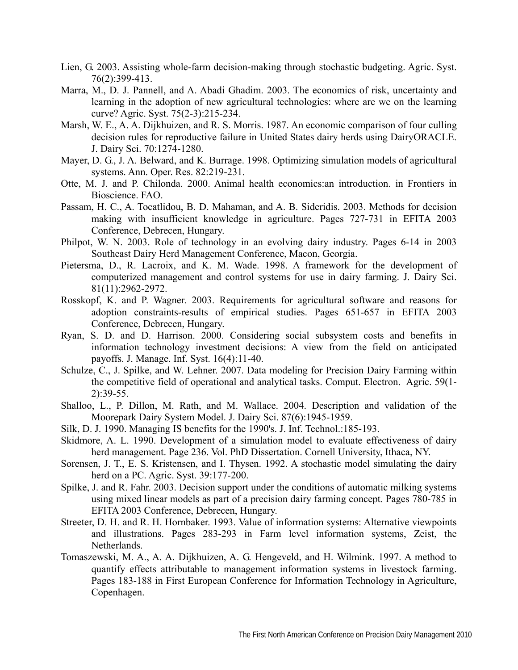- Lien, G. 2003. Assisting whole-farm decision-making through stochastic budgeting. Agric. Syst. 76(2):399-413.
- Marra, M., D. J. Pannell, and A. Abadi Ghadim. 2003. The economics of risk, uncertainty and learning in the adoption of new agricultural technologies: where are we on the learning curve? Agric. Syst. 75(2-3):215-234.
- Marsh, W. E., A. A. Dijkhuizen, and R. S. Morris. 1987. An economic comparison of four culling decision rules for reproductive failure in United States dairy herds using DairyORACLE. J. Dairy Sci. 70:1274-1280.
- Mayer, D. G., J. A. Belward, and K. Burrage. 1998. Optimizing simulation models of agricultural systems. Ann. Oper. Res. 82:219-231.
- Otte, M. J. and P. Chilonda. 2000. Animal health economics:an introduction. in Frontiers in Bioscience. FAO.
- Passam, H. C., A. Tocatlidou, B. D. Mahaman, and A. B. Sideridis. 2003. Methods for decision making with insufficient knowledge in agriculture. Pages 727-731 in EFITA 2003 Conference, Debrecen, Hungary.
- Philpot, W. N. 2003. Role of technology in an evolving dairy industry. Pages 6-14 in 2003 Southeast Dairy Herd Management Conference, Macon, Georgia.
- Pietersma, D., R. Lacroix, and K. M. Wade. 1998. A framework for the development of computerized management and control systems for use in dairy farming. J. Dairy Sci. 81(11):2962-2972.
- Rosskopf, K. and P. Wagner. 2003. Requirements for agricultural software and reasons for adoption constraints-results of empirical studies. Pages 651-657 in EFITA 2003 Conference, Debrecen, Hungary.
- Ryan, S. D. and D. Harrison. 2000. Considering social subsystem costs and benefits in information technology investment decisions: A view from the field on anticipated payoffs. J. Manage. Inf. Syst. 16(4):11-40.
- Schulze, C., J. Spilke, and W. Lehner. 2007. Data modeling for Precision Dairy Farming within the competitive field of operational and analytical tasks. Comput. Electron. Agric. 59(1- 2):39-55.
- Shalloo, L., P. Dillon, M. Rath, and M. Wallace. 2004. Description and validation of the Moorepark Dairy System Model. J. Dairy Sci. 87(6):1945-1959.
- Silk, D. J. 1990. Managing IS benefits for the 1990's. J. Inf. Technol.:185-193.
- Skidmore, A. L. 1990. Development of a simulation model to evaluate effectiveness of dairy herd management. Page 236. Vol. PhD Dissertation. Cornell University, Ithaca, NY.
- Sorensen, J. T., E. S. Kristensen, and I. Thysen. 1992. A stochastic model simulating the dairy herd on a PC. Agric. Syst. 39:177-200.
- Spilke, J. and R. Fahr. 2003. Decision support under the conditions of automatic milking systems using mixed linear models as part of a precision dairy farming concept. Pages 780-785 in EFITA 2003 Conference, Debrecen, Hungary.
- Streeter, D. H. and R. H. Hornbaker. 1993. Value of information systems: Alternative viewpoints and illustrations. Pages 283-293 in Farm level information systems, Zeist, the Netherlands.
- Tomaszewski, M. A., A. A. Dijkhuizen, A. G. Hengeveld, and H. Wilmink. 1997. A method to quantify effects attributable to management information systems in livestock farming. Pages 183-188 in First European Conference for Information Technology in Agriculture, Copenhagen.